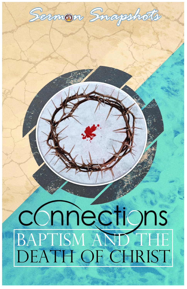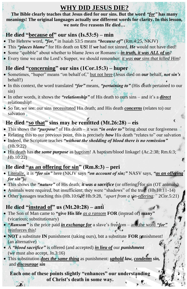# **WHY DID JESUS DIE?**

**The Bible clearly teaches that Jesus died for our sins. But the word** *"for"* **has many meanings! The original languages actually use different words for clarity. In this lesson, we note five reasons He died…**

#### **He died "because of" our sins (Is.53:5) – min**

- The Hebrew word, *"for,"* in Isaiah 53:5 means *"because of"* (Rm.4:25, NKJV)
- This *"places blame"* for His death on **US!** If *we* had not sinned, *He* would not have died!
- Some "quibble" about whether to blame Jews or Romans *– in truth, it was ALL of us!*
- Every time we eat the Lord's Supper, we should remember: *it was our sins that killed Him!*

### **He died "concerning" our sins (1Cor.15:3) – huper**

- Sometimes, "huper" means "on behalf of," but not here (Jesus died on *our* behalf, *not sin's* behalf!)
- In this context, the word translated *"for"* means, *"pertaining to"* (His death pertained to our sin)
- In other words, it shows the *"relationship"* of His death to ours sins and it's a *direct* relationship!
- So far, we see: our sins necessitated His death; and His death *concerns* (relates to) our salvation.

## **He died "so that" sins may be remitted (Mt.26:28) – eis**

- This shows the *"purpose"* of His death it was *"in order to"* bring about our forgiveness
- Relating this to our previous point, this is precisely *how* His death "relates to" our salvation
- Indeed, the Scripture teaches *"without the shedding of blood there is no remission"* (Hb.9:22)
- His death has *the same purpose* as baptism! A baptism/blood linkage! (Ac.2:38; Rm.6:3; Hb.10:22)

## **He died "as an offering for sin" (Rm.8:3) – peri**

- Literally, it is *"for sin"* here (NKJV says *"on account of sin;"* NASV says, *"as an offering for sin")*
- This shows the "*nature*" of His death; *it was a sacrifice* (or offering) for sin (OT animals)
- Animals were required, but insufficient; they were "shadows" of the true! (Hb.10:11-14)
- Other passages teaching this (Hb.10:6<sub>8</sub>, Hb.9:28, "apart from a sin-offering;" 2Cor.5:21)

## **He died "instead of" us (Mt.20:28) – anti**

- The Son of Man came to **"give His life** *as a ransom* **FOR** (instead of) **many"** (vicarious; substitutionary)
- *"Ransom"* is the price paid *in exchange for* a slave's freedom and the word *"for"* reinforces this!
- **NOT** a substitute **IN** punishment (taking ours), but a substitute **FOR** punishment! (an alternative)
- A *"blood sacrifice"* is offered (and accepted) *in lieu of* our *punishment* (we must also accept, Jn.3:16)
- This substitution *does the same thing* as punishment: *uphold law, condemn sin,* and *discourage sin*

**Each one of these points slightly "enhances" our understanding of Christ's death in some way.** $\mathbf{L}$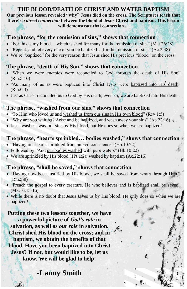#### **THE BLOOD/DEATH OF CHRIST AND WATER BAPTISM**

**Our previous lesson revealed "why" Jesus died on the cross. The Scriptures teach that there's** *a direct connection* **between the blood of Jesus Christ and baptism. This lesson will demonstrate that connection…**

#### **The phrase, "for the remission of sins," shows that connection**

- "For this is my blood… which is shed for many for the remission of sins" (Mat.26:28)
- "Repent, and let every one of you be baptized... for the remission of sins" (Ac.2:38)
- We're "baptized" for the very reason that Jesus shed His precious "blood" on the cross!

#### **The phrase, "death of His Son," shows that connection**

- "When we were enemies were reconciled to God through the death of His Son" (Rm.5:10)
- "As many of us as were baptized into Christ Jesus were baptized into His death" (Rm.6:3)
- Just as Christ reconciled us to God by His death; even so, we are baptized into His death

#### **The phrase, "washed from our sins," shows that connection**

- "To Him who loved us and washed us from our sins in His own blood" (Rev.1:5)
- "Why are you waiting? Arise and be bagaized, and wash away your sins"  $(Ac.22:16)$
- Jesus washes away our sins by His blood, but He does so when we are baptized!

#### **The phrase, "hearts sprinkled… bodies washed," shows that connection**

- "Having our hearts sprinkled from an evil conscience" (Hb.10:22)
- Followed by "And our bodies washed with pure waters" (Hb.10:22)
- We are sprinkled by His blood (1Pt.1:2); washed by baptism (Ac.22:16)

#### **The phrase, "shall be saved," shows that connection**

- "Having now been justified by His blood, we shall be saved from wrath through Him." (Rm.5:9)
- "Preach the gospel to every creature. He who believes and is baptized shall be saved" (Mk.16:15-16)
- While there is no doubt that Jesus saves us by His blood, He only does so when we are baptized!

€

**Putting these two lessons together, we have a powerful picture of** *God's role* **in salvation, as well as** *our role* **in salvation. Christ shed His blood on the cross; and in baptism, we obtain the benefits of that blood. Have you been baptized into Christ Jesus? If not, but would like to be, let us know. We will be glad to help!**

# **-Lanny Smith**